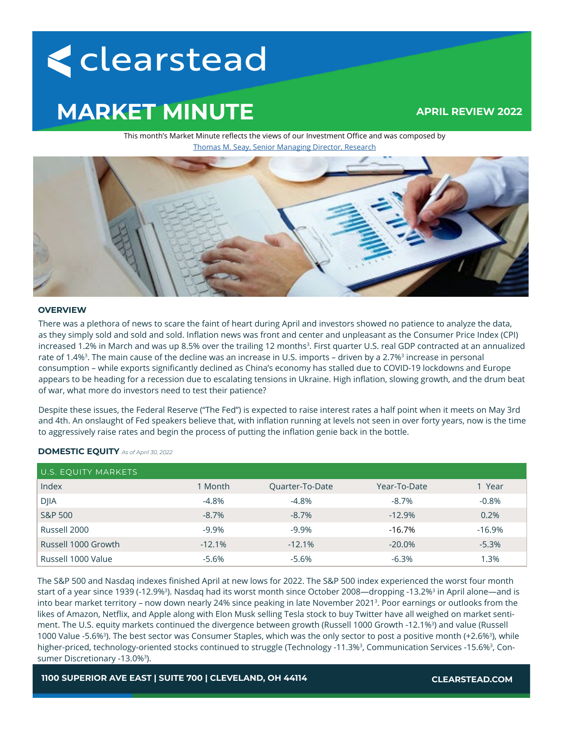# < clearstead

# **MARKET MINUTE**

# **APRIL REVIEW 2022**

This month's Market Minute reflects the views of our Investment Office and was composed by [Thomas M. Seay, Senior Managing Director, Research](https://www.clearstead.com/thomas-seay/)



### **OVERVIEW**

There was a plethora of news to scare the faint of heart during April and investors showed no patience to analyze the data, as they simply sold and sold and sold. Inflation news was front and center and unpleasant as the Consumer Price Index (CPI) increased 1.2% in March and was up 8.5% over the trailing 12 months<sup>3</sup>. First quarter U.S. real GDP contracted at an annualized rate of 1.4%<sup>3</sup>. The main cause of the decline was an increase in U.S. imports – driven by a 2.7%<sup>3</sup> increase in personal consumption – while exports significantly declined as China's economy has stalled due to COVID-19 lockdowns and Europe appears to be heading for a recession due to escalating tensions in Ukraine. High inflation, slowing growth, and the drum beat of war, what more do investors need to test their patience?

Despite these issues, the Federal Reserve ("The Fed") is expected to raise interest rates a half point when it meets on May 3rd and 4th. An onslaught of Fed speakers believe that, with inflation running at levels not seen in over forty years, now is the time to aggressively raise rates and begin the process of putting the inflation genie back in the bottle.

#### **DOMESTIC EQUITY** *As of April 30, 2022*

| U.S. EQUITY MARKETS |          |                 |              |          |
|---------------------|----------|-----------------|--------------|----------|
| Index               | 1 Month  | Quarter-To-Date | Year-To-Date | 1 Year   |
| <b>DJIA</b>         | $-4.8%$  | $-4.8%$         | $-8.7\%$     | $-0.8%$  |
| <b>S&amp;P 500</b>  | $-8.7%$  | $-8.7%$         | $-12.9%$     | 0.2%     |
| Russell 2000        | $-9.9\%$ | $-9.9%$         | $-16.7\%$    | $-16.9%$ |
| Russell 1000 Growth | $-12.1%$ | $-12.1%$        | $-20.0\%$    | $-5.3%$  |
| Russell 1000 Value  | $-5.6%$  | $-5.6%$         | $-6.3%$      | 1.3%     |

The S&P 500 and Nasdaq indexes finished April at new lows for 2022. The S&P 500 index experienced the worst four month start of a year since 1939 (-12.9%<sup>3</sup>). Nasdag had its worst month since October 2008—dropping -13.2%<sup>3</sup> in April alone—and is into bear market territory – now down nearly 24% since peaking in late November 2021<sup>3</sup>. Poor earnings or outlooks from the likes of Amazon, Netflix, and Apple along with Elon Musk selling Tesla stock to buy Twitter have all weighed on market sentiment. The U.S. equity markets continued the divergence between growth (Russell 1000 Growth -12.1%<sup>3</sup>) and value (Russell 1000 Value -5.6%<sup>3</sup>). The best sector was Consumer Staples, which was the only sector to post a positive month (+2.6%<sup>3</sup>), while higher-priced, technology-oriented stocks continued to struggle (Technology -11.3%<sup>3</sup>, Communication Services -15.6%<sup>3</sup>, Consumer Discretionary -13.0%<sup>3</sup>).

**1100 SUPERIOR AVE EAST | SUITE 700 | CLEVELAND, OH 44114 CLEARSTEAD.COM**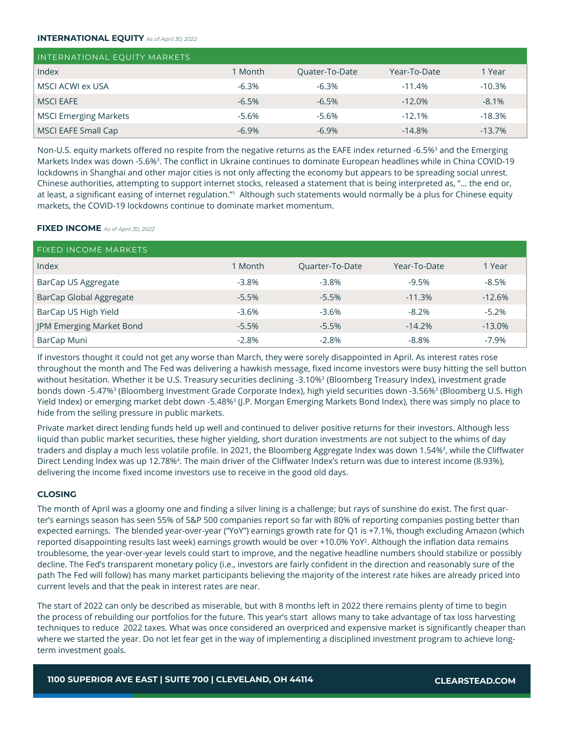#### **INTERNATIONAL EQUITY** *As of April 30, 2022*

| INTERNATIONAL EQUITY MARKETS |         |                |              |          |
|------------------------------|---------|----------------|--------------|----------|
| Index                        | 1 Month | Quater-To-Date | Year-To-Date | 1 Year   |
| MSCI ACWI ex USA             | $-6.3%$ | $-6.3%$        | $-11.4%$     | $-10.3%$ |
| <b>MSCI EAFE</b>             | $-6.5%$ | $-6.5%$        | $-12.0%$     | $-8.1%$  |
| <b>MSCI Emerging Markets</b> | $-5.6%$ | $-5.6%$        | $-12.1%$     | $-18.3%$ |
| MSCI EAFE Small Cap          | $-6.9%$ | $-6.9%$        | $-14.8\%$    | $-13.7%$ |

Non-U.S. equity markets offered no respite from the negative returns as the EAFE index returned -6.5%<sup>3</sup> and the Emerging Markets Index was down -5.6%3. The conflict in Ukraine continues to dominate European headlines while in China COVID-19 lockdowns in Shanghai and other major cities is not only affecting the economy but appears to be spreading social unrest. Chinese authorities, attempting to support internet stocks, released a statement that is being interpreted as, "… the end or, at least, a significant easing of internet regulation."<sup>1</sup> Although such statements would normally be a plus for Chinese equity markets, the COVID-19 lockdowns continue to dominate market momentum.

## **FIXED INCOME** *As of April 30, 2022*

| <b>FIXED INCOME MARKETS</b> |         |                        |              |          |
|-----------------------------|---------|------------------------|--------------|----------|
| Index                       | 1 Month | <b>Ouarter-To-Date</b> | Year-To-Date | 1 Year   |
| BarCap US Aggregate         | $-3.8%$ | $-3.8\%$               | $-9.5%$      | $-8.5%$  |
| BarCap Global Aggregate     | $-5.5%$ | $-5.5%$                | $-11.3%$     | $-12.6%$ |
| BarCap US High Yield        | $-3.6%$ | $-3.6%$                | $-8.2%$      | $-5.2%$  |
| JPM Emerging Market Bond    | $-5.5%$ | $-5.5%$                | $-14.2%$     | $-13.0%$ |
| BarCap Muni                 | $-2.8%$ | $-2.8%$                | $-8.8\%$     | $-7.9%$  |

If investors thought it could not get any worse than March, they were sorely disappointed in April. As interest rates rose throughout the month and The Fed was delivering a hawkish message, fixed income investors were busy hitting the sell button without hesitation. Whether it be U.S. Treasury securities declining -3.10%<sup>3</sup> (Bloomberg Treasury Index), investment grade bonds down -5.47%<sup>3</sup> (Bloomberg Investment Grade Corporate Index), high yield securities down -3.56%<sup>3</sup> (Bloomberg U.S. High Yield Index) or emerging market debt down -5.48%<sup>3</sup> (J.P. Morgan Emerging Markets Bond Index), there was simply no place to hide from the selling pressure in public markets.

Private market direct lending funds held up well and continued to deliver positive returns for their investors. Although less liquid than public market securities, these higher yielding, short duration investments are not subject to the whims of day traders and display a much less volatile profile. In 2021, the Bloomberg Aggregate Index was down 1.54%<sup>3</sup>, while the Cliffwater Direct Lending Index was up 12.78%<sup>4</sup>. The main driver of the Cliffwater Index's return was due to interest income (8.93%), delivering the income fixed income investors use to receive in the good old days.

# **CLOSING**

The month of April was a gloomy one and finding a silver lining is a challenge; but rays of sunshine do exist. The first quarter's earnings season has seen 55% of S&P 500 companies report so far with 80% of reporting companies posting better than expected earnings. The blended year-over-year ("YoY") earnings growth rate for Q1 is +7.1%, though excluding Amazon (which reported disappointing results last week) earnings growth would be over +10.0% YoY<sup>2</sup>. Although the inflation data remains troublesome, the year-over-year levels could start to improve, and the negative headline numbers should stabilize or possibly decline. The Fed's transparent monetary policy (i.e., investors are fairly confident in the direction and reasonably sure of the path The Fed will follow) has many market participants believing the majority of the interest rate hikes are already priced into current levels and that the peak in interest rates are near.

The start of 2022 can only be described as miserable, but with 8 months left in 2022 there remains plenty of time to begin the process of rebuilding our portfolios for the future. This year's start allows many to take advantage of tax loss harvesting techniques to reduce 2022 taxes. What was once considered an overpriced and expensive market is significantly cheaper than where we started the year. Do not let fear get in the way of implementing a disciplined investment program to achieve longterm investment goals.

**1100 SUPERIOR AVE EAST | SUITE 700 | CLEVELAND, OH 44114 CLEARSTEAD.COM**